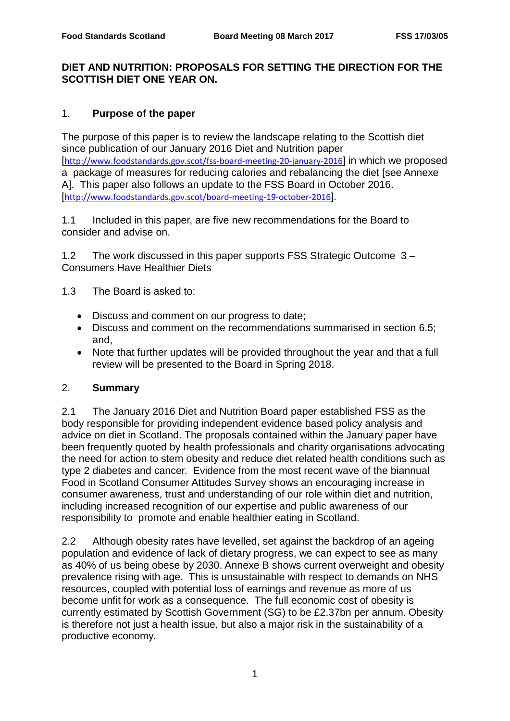# **DIET AND NUTRITION: PROPOSALS FOR SETTING THE DIRECTION FOR THE SCOTTISH DIET ONE YEAR ON.**

# 1. **Purpose of the paper**

The purpose of this paper is to review the landscape relating to the Scottish diet since publication of our January 2016 Diet and Nutrition paper [<http://www.foodstandards.gov.scot/fss-board-meeting-20-january-2016>] in which we proposed a package of measures for reducing calories and rebalancing the diet [see Annexe A]. This paper also follows an update to the FSS Board in October 2016. [<http://www.foodstandards.gov.scot/board-meeting-19-october-2016>].

1.1 Included in this paper, are five new recommendations for the Board to consider and advise on.

1.2 The work discussed in this paper supports FSS Strategic Outcome3 – Consumers Have Healthier Diets

1.3 The Board is asked to:

- Discuss and comment on our progress to date;
- Discuss and comment on the recommendations summarised in section 6.5; and,
- Note that further updates will be provided throughout the year and that a full review will be presented to the Board in Spring 2018.

# 2. **Summary**

2.1 The January 2016 Diet and Nutrition Board paper established FSS as the body responsible for providing independent evidence based policy analysis and advice on diet in Scotland. The proposals contained within the January paper have been frequently quoted by health professionals and charity organisations advocating the need for action to stem obesity and reduce diet related health conditions such as type 2 diabetes and cancer. Evidence from the most recent wave of the biannual Food in Scotland Consumer Attitudes Survey shows an encouraging increase in consumer awareness, trust and understanding of our role within diet and nutrition, including increased recognition of our expertise and public awareness of our responsibility to promote and enable healthier eating in Scotland.

2.2 Although obesity rates have levelled, set against the backdrop of an ageing population and evidence of lack of dietary progress, we can expect to see as many as 40% of us being obese by 2030. Annexe B shows current overweight and obesity prevalence rising with age. This is unsustainable with respect to demands on NHS resources, coupled with potential loss of earnings and revenue as more of us become unfit for work as a consequence. The full economic cost of obesity is currently estimated by Scottish Government (SG) to be £2.37bn per annum. Obesity is therefore not just a health issue, but also a major risk in the sustainability of a productive economy.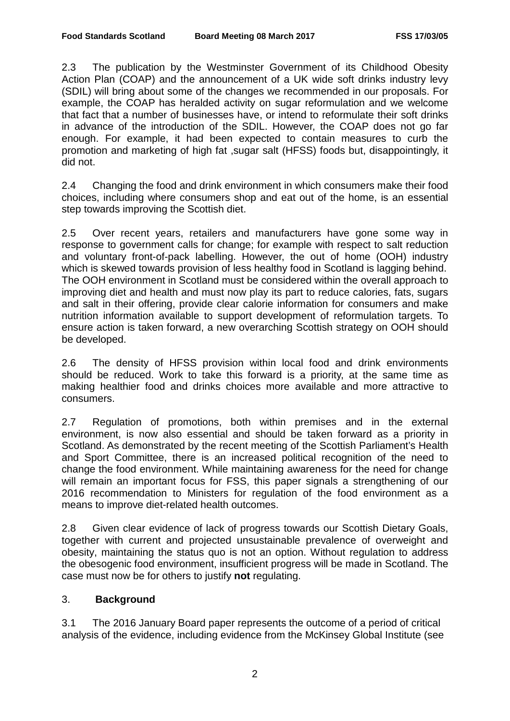2.3 The publication by the Westminster Government of its Childhood Obesity Action Plan (COAP) and the announcement of a UK wide soft drinks industry levy (SDIL) will bring about some of the changes we recommended in our proposals. For example, the COAP has heralded activity on sugar reformulation and we welcome that fact that a number of businesses have, or intend to reformulate their soft drinks in advance of the introduction of the SDIL. However, the COAP does not go far enough. For example, it had been expected to contain measures to curb the promotion and marketing of high fat ,sugar salt (HFSS) foods but, disappointingly, it did not.

2.4 Changing the food and drink environment in which consumers make their food choices, including where consumers shop and eat out of the home, is an essential step towards improving the Scottish diet.

2.5 Over recent years, retailers and manufacturers have gone some way in response to government calls for change; for example with respect to salt reduction and voluntary front-of-pack labelling. However, the out of home (OOH) industry which is skewed towards provision of less healthy food in Scotland is lagging behind. The OOH environment in Scotland must be considered within the overall approach to improving diet and health and must now play its part to reduce calories, fats, sugars and salt in their offering, provide clear calorie information for consumers and make nutrition information available to support development of reformulation targets. To ensure action is taken forward, a new overarching Scottish strategy on OOH should be developed.

2.6 The density of HFSS provision within local food and drink environments should be reduced. Work to take this forward is a priority, at the same time as making healthier food and drinks choices more available and more attractive to consumers.

2.7 Regulation of promotions, both within premises and in the external environment, is now also essential and should be taken forward as a priority in Scotland. As demonstrated by the recent meeting of the Scottish Parliament's Health and Sport Committee, there is an increased political recognition of the need to change the food environment. While maintaining awareness for the need for change will remain an important focus for FSS, this paper signals a strengthening of our 2016 recommendation to Ministers for regulation of the food environment as a means to improve diet-related health outcomes.

2.8 Given clear evidence of lack of progress towards our Scottish Dietary Goals, together with current and projected unsustainable prevalence of overweight and obesity, maintaining the status quo is not an option. Without regulation to address the obesogenic food environment, insufficient progress will be made in Scotland. The case must now be for others to justify **not** regulating.

# 3. **Background**

3.1 The 2016 January Board paper represents the outcome of a period of critical analysis of the evidence, including evidence from the McKinsey Global Institute (see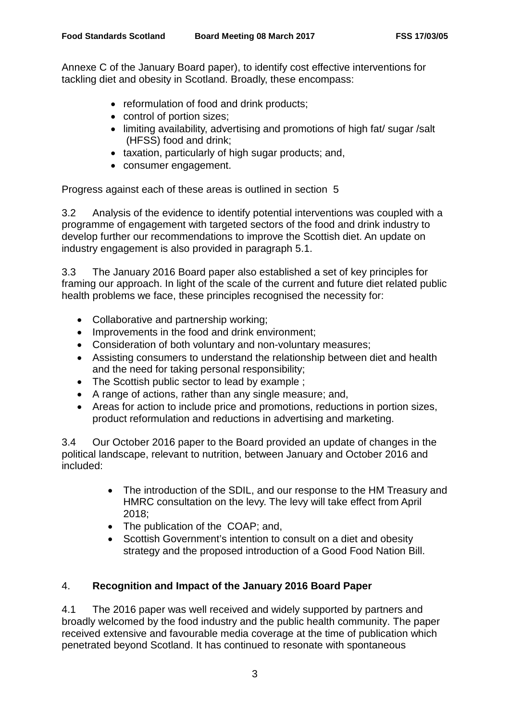Annexe C of the January Board paper), to identify cost effective interventions for tackling diet and obesity in Scotland. Broadly, these encompass:

- reformulation of food and drink products;
- control of portion sizes;
- limiting availability, advertising and promotions of high fat/ sugar /salt (HFSS) food and drink;
- taxation, particularly of high sugar products; and,
- consumer engagement.

Progress against each of these areas is outlined in section 5

3.2 Analysis of the evidence to identify potential interventions was coupled with a programme of engagement with targeted sectors of the food and drink industry to develop further our recommendations to improve the Scottish diet. An update on industry engagement is also provided in paragraph 5.1.

3.3 The January 2016 Board paper also established a set of key principles for framing our approach. In light of the scale of the current and future diet related public health problems we face, these principles recognised the necessity for:

- Collaborative and partnership working;
- Improvements in the food and drink environment;
- Consideration of both voluntary and non-voluntary measures;
- Assisting consumers to understand the relationship between diet and health and the need for taking personal responsibility;
- The Scottish public sector to lead by example ;
- A range of actions, rather than any single measure; and,
- Areas for action to include price and promotions, reductions in portion sizes, product reformulation and reductions in advertising and marketing.

3.4 Our October 2016 paper to the Board provided an update of changes in the political landscape, relevant to nutrition, between January and October 2016 and included:

- The introduction of the SDIL, and our response to the HM Treasury and HMRC consultation on the levy. The levy will take effect from April 2018;
- The publication of the COAP; and,
- Scottish Government's intention to consult on a diet and obesity strategy and the proposed introduction of a Good Food Nation Bill.

# 4. **Recognition and Impact of the January 2016 Board Paper**

4.1 The 2016 paper was well received and widely supported by partners and broadly welcomed by the food industry and the public health community. The paper received extensive and favourable media coverage at the time of publication which penetrated beyond Scotland. It has continued to resonate with spontaneous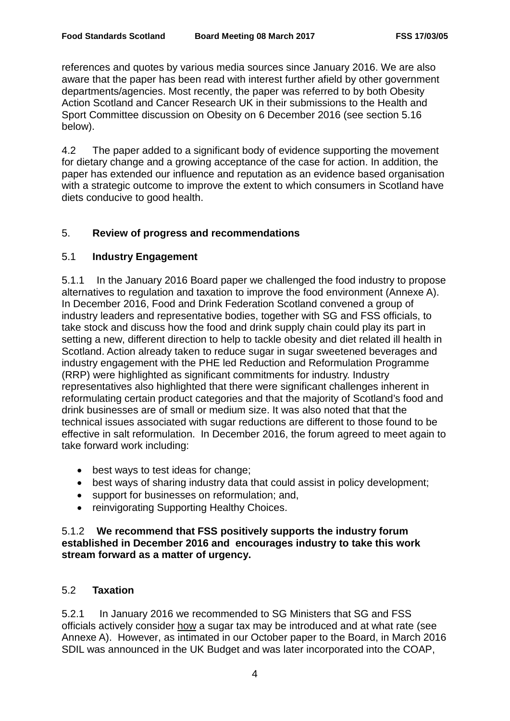references and quotes by various media sources since January 2016. We are also aware that the paper has been read with interest further afield by other government departments/agencies. Most recently, the paper was referred to by both Obesity Action Scotland and Cancer Research UK in their submissions to the Health and Sport Committee discussion on Obesity on 6 December 2016 (see section 5.16 below).

4.2 The paper added to a significant body of evidence supporting the movement for dietary change and a growing acceptance of the case for action. In addition, the paper has extended our influence and reputation as an evidence based organisation with a strategic outcome to improve the extent to which consumers in Scotland have diets conducive to good health.

# 5. **Review of progress and recommendations**

# 5.1 **Industry Engagement**

5.1.1 In the January 2016 Board paper we challenged the food industry to propose alternatives to regulation and taxation to improve the food environment (Annexe A). In December 2016, Food and Drink Federation Scotland convened a group of industry leaders and representative bodies, together with SG and FSS officials, to take stock and discuss how the food and drink supply chain could play its part in setting a new, different direction to help to tackle obesity and diet related ill health in Scotland. Action already taken to reduce sugar in sugar sweetened beverages and industry engagement with the PHE led Reduction and Reformulation Programme (RRP) were highlighted as significant commitments for industry. Industry representatives also highlighted that there were significant challenges inherent in reformulating certain product categories and that the majority of Scotland's food and drink businesses are of small or medium size. It was also noted that that the technical issues associated with sugar reductions are different to those found to be effective in salt reformulation. In December 2016, the forum agreed to meet again to take forward work including:

- best ways to test ideas for change;
- best ways of sharing industry data that could assist in policy development;
- support for businesses on reformulation; and,
- reinvigorating Supporting Healthy Choices.

# 5.1.2 **We recommend that FSS positively supports the industry forum established in December 2016 and encourages industry to take this work stream forward as a matter of urgency.**

# 5.2 **Taxation**

5.2.1 In January 2016 we recommended to SG Ministers that SG and FSS officials actively consider how a sugar tax may be introduced and at what rate (see Annexe A). However, as intimated in our October paper to the Board, in March 2016 SDIL was announced in the UK Budget and was later incorporated into the COAP,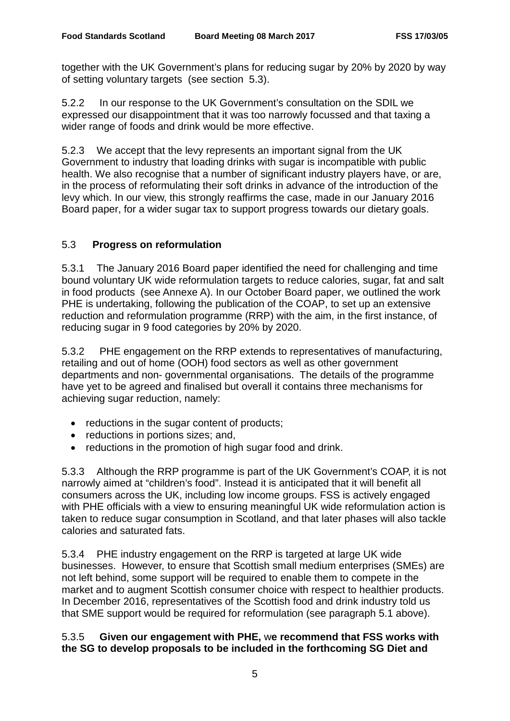together with the UK Government's plans for reducing sugar by 20% by 2020 by way of setting voluntary targets (see section 5.3).

5.2.2 In our response to the UK Government's consultation on the SDIL we expressed our disappointment that it was too narrowly focussed and that taxing a wider range of foods and drink would be more effective.

5.2.3 We accept that the levy represents an important signal from the UK Government to industry that loading drinks with sugar is incompatible with public health. We also recognise that a number of significant industry players have, or are, in the process of reformulating their soft drinks in advance of the introduction of the levy which. In our view, this strongly reaffirms the case, made in our January 2016 Board paper, for a wider sugar tax to support progress towards our dietary goals.

# 5.3 **Progress on reformulation**

5.3.1 The January 2016 Board paper identified the need for challenging and time bound voluntary UK wide reformulation targets to reduce calories, sugar, fat and salt in food products (see Annexe A). In our October Board paper, we outlined the work PHE is undertaking, following the publication of the COAP, to set up an extensive reduction and reformulation programme (RRP) with the aim, in the first instance, of reducing sugar in 9 food categories by 20% by 2020.

5.3.2 PHE engagement on the RRP extends to representatives of manufacturing, retailing and out of home (OOH) food sectors as well as other government departments and non- governmental organisations. The details of the programme have yet to be agreed and finalised but overall it contains three mechanisms for achieving sugar reduction, namely:

- reductions in the sugar content of products;
- reductions in portions sizes; and,
- reductions in the promotion of high sugar food and drink.

5.3.3 Although the RRP programme is part of the UK Government's COAP, it is not narrowly aimed at "children's food". Instead it is anticipated that it will benefit all consumers across the UK, including low income groups. FSS is actively engaged with PHE officials with a view to ensuring meaningful UK wide reformulation action is taken to reduce sugar consumption in Scotland, and that later phases will also tackle calories and saturated fats.

5.3.4 PHE industry engagement on the RRP is targeted at large UK wide businesses. However, to ensure that Scottish small medium enterprises (SMEs) are not left behind, some support will be required to enable them to compete in the market and to augment Scottish consumer choice with respect to healthier products. In December 2016, representatives of the Scottish food and drink industry told us that SME support would be required for reformulation (see paragraph 5.1 above).

# 5.3.5 **Given our engagement with PHE,** w**e recommend that FSS works with the SG to develop proposals to be included in the forthcoming SG Diet and**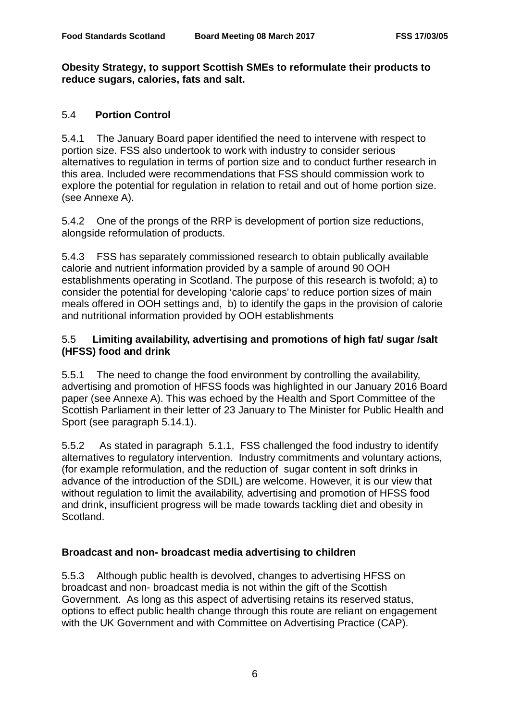#### **Obesity Strategy, to support Scottish SMEs to reformulate their products to reduce sugars, calories, fats and salt.**

# 5.4 **Portion Control**

5.4.1 The January Board paper identified the need to intervene with respect to portion size. FSS also undertook to work with industry to consider serious alternatives to regulation in terms of portion size and to conduct further research in this area. Included were recommendations that FSS should commission work to explore the potential for regulation in relation to retail and out of home portion size. (see Annexe A).

5.4.2 One of the prongs of the RRP is development of portion size reductions, alongside reformulation of products.

5.4.3 FSS has separately commissioned research to obtain publically available calorie and nutrient information provided by a sample of around 90 OOH establishments operating in Scotland. The purpose of this research is twofold; a) to consider the potential for developing 'calorie caps' to reduce portion sizes of main meals offered in OOH settings and, b) to identify the gaps in the provision of calorie and nutritional information provided by OOH establishments

# 5.5 **Limiting availability, advertising and promotions of high fat/ sugar /salt (HFSS) food and drink**

5.5.1 The need to change the food environment by controlling the availability, advertising and promotion of HFSS foods was highlighted in our January 2016 Board paper (see Annexe A). This was echoed by the Health and Sport Committee of the Scottish Parliament in their letter of 23 January to The Minister for Public Health and Sport (see paragraph 5.14.1).

5.5.2 As stated in paragraph 5.1.1, FSS challenged the food industry to identify alternatives to regulatory intervention. Industry commitments and voluntary actions, (for example reformulation, and the reduction of sugar content in soft drinks in advance of the introduction of the SDIL) are welcome. However, it is our view that without regulation to limit the availability, advertising and promotion of HFSS food and drink, insufficient progress will be made towards tackling diet and obesity in Scotland.

# **Broadcast and non- broadcast media advertising to children**

5.5.3 Although public health is devolved, changes to advertising HFSS on broadcast and non- broadcast media is not within the gift of the Scottish Government. As long as this aspect of advertising retains its reserved status, options to effect public health change through this route are reliant on engagement with the UK Government and with Committee on Advertising Practice (CAP).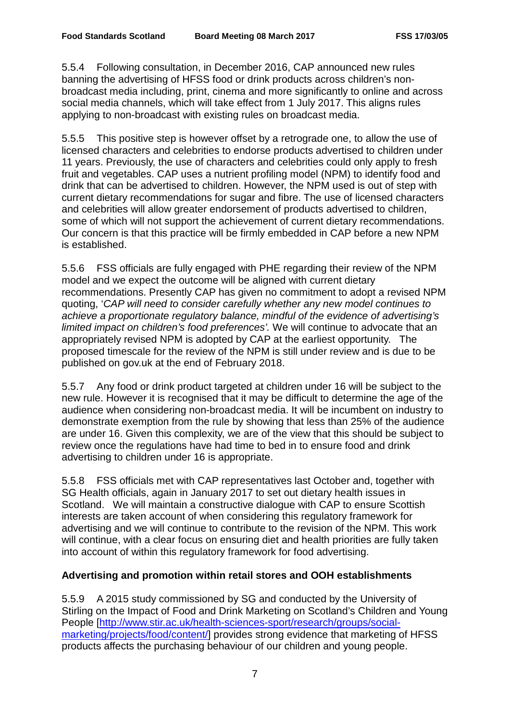5.5.4 Following consultation, in December 2016, CAP announced new rules banning the advertising of HFSS food or drink products across children's nonbroadcast media including, print, cinema and more significantly to online and across social media channels, which will take effect from 1 July 2017. This aligns rules applying to non-broadcast with existing rules on broadcast media.

5.5.5 This positive step is however offset by a retrograde one, to allow the use of licensed characters and celebrities to endorse products advertised to children under 11 years. Previously, the use of characters and celebrities could only apply to fresh fruit and vegetables. CAP uses a nutrient profiling model (NPM) to identify food and drink that can be advertised to children. However, the NPM used is out of step with current dietary recommendations for sugar and fibre. The use of licensed characters and celebrities will allow greater endorsement of products advertised to children, some of which will not support the achievement of current dietary recommendations. Our concern is that this practice will be firmly embedded in CAP before a new NPM is established.

5.5.6 FSS officials are fully engaged with PHE regarding their review of the NPM model and we expect the outcome will be aligned with current dietary recommendations. Presently CAP has given no commitment to adopt a revised NPM quoting, '*CAP will need to consider carefully whether any new model continues to achieve a proportionate regulatory balance, mindful of the evidence of advertising's limited impact on children's food preferences'.* We will continue to advocate that an appropriately revised NPM is adopted by CAP at the earliest opportunity. The proposed timescale for the review of the NPM is still under review and is due to be published on gov.uk at the end of February 2018.

5.5.7 Any food or drink product targeted at children under 16 will be subject to the new rule. However it is recognised that it may be difficult to determine the age of the audience when considering non-broadcast media. It will be incumbent on industry to demonstrate exemption from the rule by showing that less than 25% of the audience are under 16. Given this complexity, we are of the view that this should be subject to review once the regulations have had time to bed in to ensure food and drink advertising to children under 16 is appropriate.

5.5.8 FSS officials met with CAP representatives last October and, together with SG Health officials, again in January 2017 to set out dietary health issues in Scotland. We will maintain a constructive dialogue with CAP to ensure Scottish interests are taken account of when considering this regulatory framework for advertising and we will continue to contribute to the revision of the NPM. This work will continue, with a clear focus on ensuring diet and health priorities are fully taken into account of within this regulatory framework for food advertising.

# **Advertising and promotion within retail stores and OOH establishments**

5.5.9 A 2015 study commissioned by SG and conducted by the University of Stirling on the Impact of Food and Drink Marketing on Scotland's Children and Young People [\[http://www.stir.ac.uk/health-sciences-sport/research/groups/social](http://www.stir.ac.uk/health-sciences-sport/research/groups/social-marketing/projects/food/content/)[marketing/projects/food/content/\]](http://www.stir.ac.uk/health-sciences-sport/research/groups/social-marketing/projects/food/content/) provides strong evidence that marketing of HFSS products affects the purchasing behaviour of our children and young people.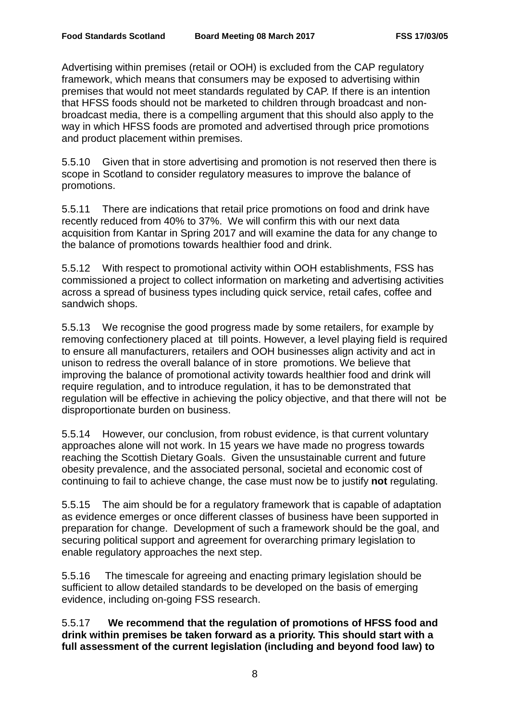Advertising within premises (retail or OOH) is excluded from the CAP regulatory framework, which means that consumers may be exposed to advertising within premises that would not meet standards regulated by CAP. If there is an intention that HFSS foods should not be marketed to children through broadcast and nonbroadcast media, there is a compelling argument that this should also apply to the way in which HFSS foods are promoted and advertised through price promotions and product placement within premises.

5.5.10 Given that in store advertising and promotion is not reserved then there is scope in Scotland to consider regulatory measures to improve the balance of promotions.

5.5.11 There are indications that retail price promotions on food and drink have recently reduced from 40% to 37%. We will confirm this with our next data acquisition from Kantar in Spring 2017 and will examine the data for any change to the balance of promotions towards healthier food and drink.

5.5.12 With respect to promotional activity within OOH establishments, FSS has commissioned a project to collect information on marketing and advertising activities across a spread of business types including quick service, retail cafes, coffee and sandwich shops.

5.5.13 We recognise the good progress made by some retailers, for example by removing confectionery placed at till points. However, a level playing field is required to ensure all manufacturers, retailers and OOH businesses align activity and act in unison to redress the overall balance of in store promotions. We believe that improving the balance of promotional activity towards healthier food and drink will require regulation, and to introduce regulation, it has to be demonstrated that regulation will be effective in achieving the policy objective, and that there will not be disproportionate burden on business.

5.5.14 However, our conclusion, from robust evidence, is that current voluntary approaches alone will not work. In 15 years we have made no progress towards reaching the Scottish Dietary Goals. Given the unsustainable current and future obesity prevalence, and the associated personal, societal and economic cost of continuing to fail to achieve change, the case must now be to justify **not** regulating.

5.5.15 The aim should be for a regulatory framework that is capable of adaptation as evidence emerges or once different classes of business have been supported in preparation for change. Development of such a framework should be the goal, and securing political support and agreement for overarching primary legislation to enable regulatory approaches the next step.

5.5.16 The timescale for agreeing and enacting primary legislation should be sufficient to allow detailed standards to be developed on the basis of emerging evidence, including on-going FSS research.

5.5.17 **We recommend that the regulation of promotions of HFSS food and drink within premises be taken forward as a priority. This should start with a full assessment of the current legislation (including and beyond food law) to**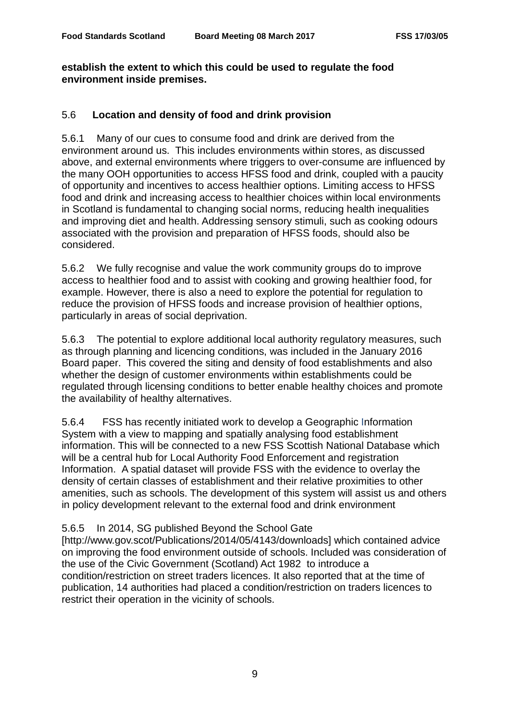# **establish the extent to which this could be used to regulate the food environment inside premises.**

# 5.6 **Location and density of food and drink provision**

5.6.1 Many of our cues to consume food and drink are derived from the environment around us. This includes environments within stores, as discussed above, and external environments where triggers to over-consume are influenced by the many OOH opportunities to access HFSS food and drink, coupled with a paucity of opportunity and incentives to access healthier options. Limiting access to HFSS food and drink and increasing access to healthier choices within local environments in Scotland is fundamental to changing social norms, reducing health inequalities and improving diet and health. Addressing sensory stimuli, such as cooking odours associated with the provision and preparation of HFSS foods, should also be considered.

5.6.2 We fully recognise and value the work community groups do to improve access to healthier food and to assist with cooking and growing healthier food, for example. However, there is also a need to explore the potential for regulation to reduce the provision of HFSS foods and increase provision of healthier options, particularly in areas of social deprivation.

5.6.3 The potential to explore additional local authority regulatory measures, such as through planning and licencing conditions, was included in the January 2016 Board paper. This covered the siting and density of food establishments and also whether the design of customer environments within establishments could be regulated through licensing conditions to better enable healthy choices and promote the availability of healthy alternatives.

5.6.4 FSS has recently initiated work to develop a Geographic Information System with a view to mapping and spatially analysing food establishment information. This will be connected to a new FSS Scottish National Database which will be a central hub for Local Authority Food Enforcement and registration Information. A spatial dataset will provide FSS with the evidence to overlay the density of certain classes of establishment and their relative proximities to other amenities, such as schools. The development of this system will assist us and others in policy development relevant to the external food and drink environment

# 5.6.5 In 2014, SG published Beyond the School Gate

[http://www.gov.scot/Publications/2014/05/4143/downloads] which contained advice on improving the food environment outside of schools. Included was consideration of the use of the Civic Government (Scotland) Act 1982 to introduce a condition/restriction on street traders licences. It also reported that at the time of publication, 14 authorities had placed a condition/restriction on traders licences to restrict their operation in the vicinity of schools.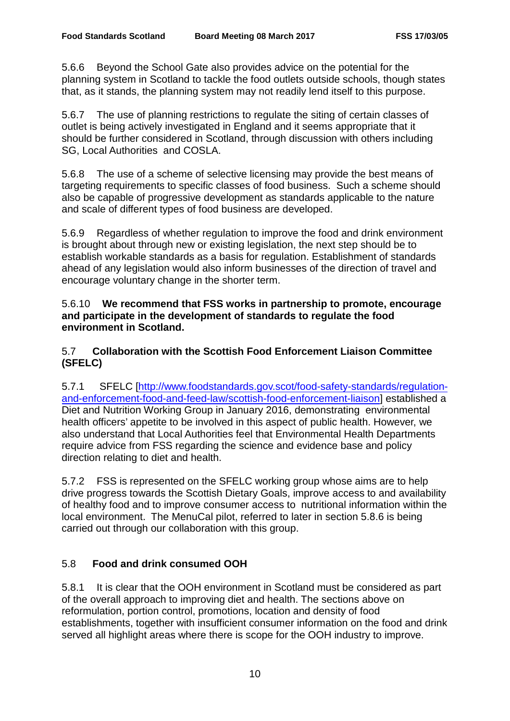5.6.6 Beyond the School Gate also provides advice on the potential for the planning system in Scotland to tackle the food outlets outside schools, though states that, as it stands, the planning system may not readily lend itself to this purpose.

5.6.7 The use of planning restrictions to regulate the siting of certain classes of outlet is being actively investigated in England and it seems appropriate that it should be further considered in Scotland, through discussion with others including SG, Local Authorities and COSLA.

5.6.8 The use of a scheme of selective licensing may provide the best means of targeting requirements to specific classes of food business. Such a scheme should also be capable of progressive development as standards applicable to the nature and scale of different types of food business are developed.

5.6.9 Regardless of whether regulation to improve the food and drink environment is brought about through new or existing legislation, the next step should be to establish workable standards as a basis for regulation. Establishment of standards ahead of any legislation would also inform businesses of the direction of travel and encourage voluntary change in the shorter term.

5.6.10 **We recommend that FSS works in partnership to promote, encourage and participate in the development of standards to regulate the food environment in Scotland.** 

5.7 **Collaboration with the Scottish Food Enforcement Liaison Committee (SFELC)**

5.7.1 SFELC [\[http://www.foodstandards.gov.scot/food-safety-standards/regulation](http://www.foodstandards.gov.scot/food-safety-standards/regulation-and-enforcement-food-and-feed-law/scottish-food-enforcement-liaison)[and-enforcement-food-and-feed-law/scottish-food-enforcement-liaison\]](http://www.foodstandards.gov.scot/food-safety-standards/regulation-and-enforcement-food-and-feed-law/scottish-food-enforcement-liaison) established a Diet and Nutrition Working Group in January 2016, demonstrating environmental health officers' appetite to be involved in this aspect of public health. However, we also understand that Local Authorities feel that Environmental Health Departments require advice from FSS regarding the science and evidence base and policy direction relating to diet and health.

5.7.2 FSS is represented on the SFELC working group whose aims are to help drive progress towards the Scottish Dietary Goals, improve access to and availability of healthy food and to improve consumer access to nutritional information within the local environment. The MenuCal pilot, referred to later in section 5.8.6 is being carried out through our collaboration with this group.

# 5.8 **Food and drink consumed OOH**

5.8.1 It is clear that the OOH environment in Scotland must be considered as part of the overall approach to improving diet and health. The sections above on reformulation, portion control, promotions, location and density of food establishments, together with insufficient consumer information on the food and drink served all highlight areas where there is scope for the OOH industry to improve.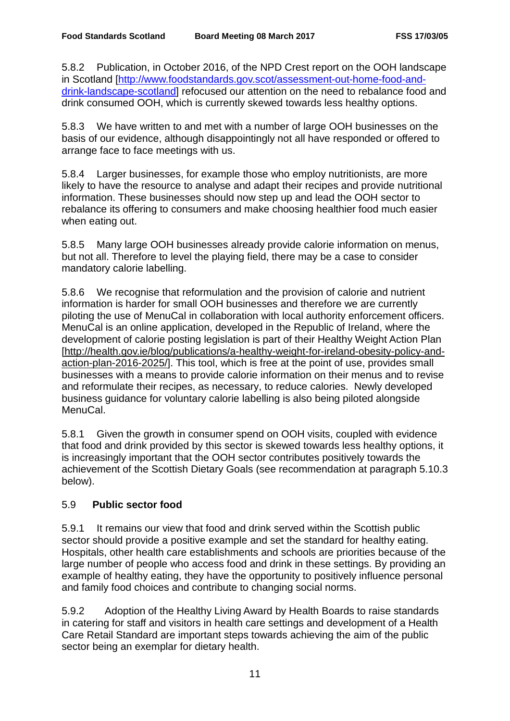5.8.2 Publication, in October 2016, of the NPD Crest report on the OOH landscape in Scotland [\[http://www.foodstandards.gov.scot/assessment-out-home-food-and](http://www.foodstandards.gov.scot/assessment-out-home-food-and-drink-landscape-scotland)[drink-landscape-scotland\]](http://www.foodstandards.gov.scot/assessment-out-home-food-and-drink-landscape-scotland) refocused our attention on the need to rebalance food and drink consumed OOH, which is currently skewed towards less healthy options.

5.8.3 We have written to and met with a number of large OOH businesses on the basis of our evidence, although disappointingly not all have responded or offered to arrange face to face meetings with us.

5.8.4 Larger businesses, for example those who employ nutritionists, are more likely to have the resource to analyse and adapt their recipes and provide nutritional information. These businesses should now step up and lead the OOH sector to rebalance its offering to consumers and make choosing healthier food much easier when eating out.

5.8.5 Many large OOH businesses already provide calorie information on menus, but not all. Therefore to level the playing field, there may be a case to consider mandatory calorie labelling.

5.8.6 We recognise that reformulation and the provision of calorie and nutrient information is harder for small OOH businesses and therefore we are currently piloting the use of MenuCal in collaboration with local authority enforcement officers. MenuCal is an online application, developed in the Republic of Ireland, where the development of calorie posting legislation is part of their Healthy Weight Action Plan [\[http://health.gov.ie/blog/publications/a-healthy-weight-for-ireland-obesity-policy-and](http://health.gov.ie/blog/publications/a-healthy-weight-for-ireland-obesity-policy-and-action-plan-2016-2025/)[action-plan-2016-2025/\]](http://health.gov.ie/blog/publications/a-healthy-weight-for-ireland-obesity-policy-and-action-plan-2016-2025/). This tool, which is free at the point of use, provides small businesses with a means to provide calorie information on their menus and to revise and reformulate their recipes, as necessary, to reduce calories. Newly developed business guidance for voluntary calorie labelling is also being piloted alongside MenuCal.

5.8.1 Given the growth in consumer spend on OOH visits, coupled with evidence that food and drink provided by this sector is skewed towards less healthy options, it is increasingly important that the OOH sector contributes positively towards the achievement of the Scottish Dietary Goals (see recommendation at paragraph 5.10.3 below).

# 5.9 **Public sector food**

5.9.1 It remains our view that food and drink served within the Scottish public sector should provide a positive example and set the standard for healthy eating. Hospitals, other health care establishments and schools are priorities because of the large number of people who access food and drink in these settings. By providing an example of healthy eating, they have the opportunity to positively influence personal and family food choices and contribute to changing social norms.

5.9.2 Adoption of the Healthy Living Award by Health Boards to raise standards in catering for staff and visitors in health care settings and development of a Health Care Retail Standard are important steps towards achieving the aim of the public sector being an exemplar for dietary health.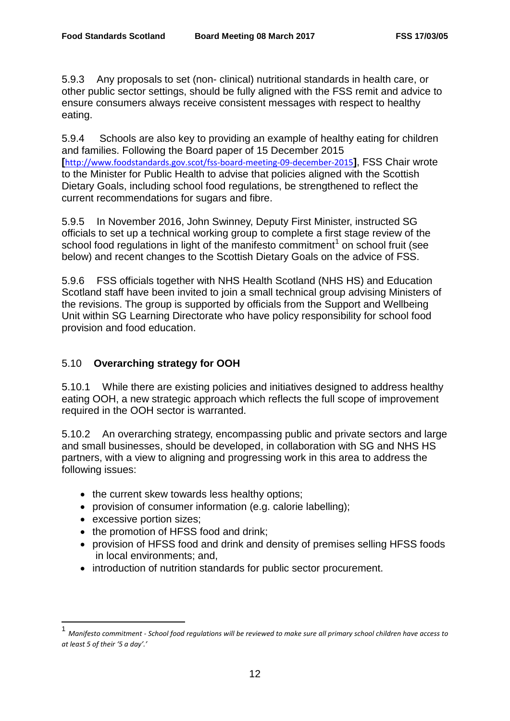5.9.3 Any proposals to set (non- clinical) nutritional standards in health care, or other public sector settings, should be fully aligned with the FSS remit and advice to ensure consumers always receive consistent messages with respect to healthy eating.

5.9.4 Schools are also key to providing an example of healthy eating for children and families. Following the Board paper of 15 December 2015 **[**<http://www.foodstandards.gov.scot/fss-board-meeting-09-december-2015>**]**, FSS Chair wrote to the Minister for Public Health to advise that policies aligned with the Scottish Dietary Goals, including school food regulations, be strengthened to reflect the current recommendations for sugars and fibre.

5.9.5 In November 2016, John Swinney, Deputy First Minister, instructed SG officials to set up a technical working group to complete a first stage review of the school food regulations in light of the manifesto commitment<sup>[1](#page-11-0)</sup> on school fruit (see below) and recent changes to the Scottish Dietary Goals on the advice of FSS.

5.9.6 FSS officials together with NHS Health Scotland (NHS HS) and Education Scotland staff have been invited to join a small technical group advising Ministers of the revisions. The group is supported by officials from the Support and Wellbeing Unit within SG Learning Directorate who have policy responsibility for school food provision and food education.

# 5.10 **Overarching strategy for OOH**

5.10.1 While there are existing policies and initiatives designed to address healthy eating OOH, a new strategic approach which reflects the full scope of improvement required in the OOH sector is warranted.

5.10.2 An overarching strategy, encompassing public and private sectors and large and small businesses, should be developed, in collaboration with SG and NHS HS partners, with a view to aligning and progressing work in this area to address the following issues:

- the current skew towards less healthy options;
- provision of consumer information (e.g. calorie labelling);
- excessive portion sizes;

 $\overline{\phantom{a}}$ 

- the promotion of HFSS food and drink;
- provision of HFSS food and drink and density of premises selling HFSS foods in local environments; and,
- introduction of nutrition standards for public sector procurement.

<span id="page-11-0"></span><sup>1</sup> *Manifesto commitment - School food regulations will be reviewed to make sure all primary school children have access to at least 5 of their '5 a day'.'*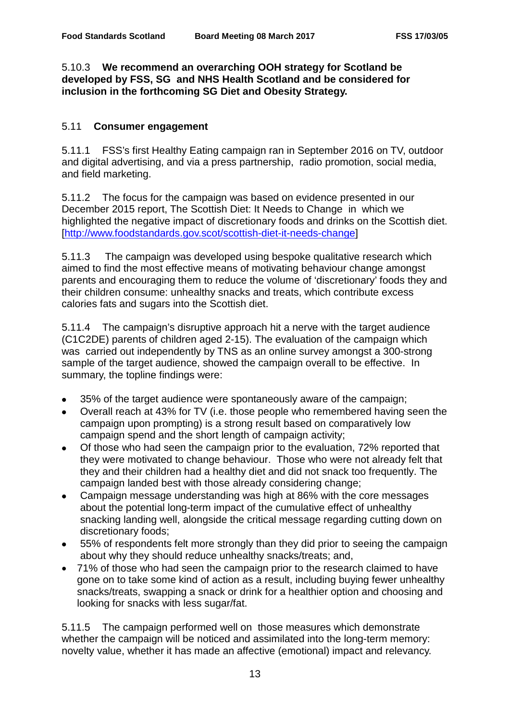# 5.10.3 **We recommend an overarching OOH strategy for Scotland be developed by FSS, SG and NHS Health Scotland and be considered for inclusion in the forthcoming SG Diet and Obesity Strategy.**

# 5.11 **Consumer engagement**

5.11.1 FSS's first Healthy Eating campaign ran in September 2016 on TV, outdoor and digital advertising, and via a press partnership, radio promotion, social media, and field marketing.

5.11.2 The focus for the campaign was based on evidence presented in our December 2015 report, The Scottish Diet: It Needs to Change in which we highlighted the negative impact of discretionary foods and drinks on the Scottish diet. [\[http://www.foodstandards.gov.scot/scottish-diet-it-needs-change\]](http://www.foodstandards.gov.scot/scottish-diet-it-needs-change)

5.11.3 The campaign was developed using bespoke qualitative research which aimed to find the most effective means of motivating behaviour change amongst parents and encouraging them to reduce the volume of 'discretionary' foods they and their children consume: unhealthy snacks and treats, which contribute excess calories fats and sugars into the Scottish diet.

5.11.4 The campaign's disruptive approach hit a nerve with the target audience (C1C2DE) parents of children aged 2-15). The evaluation of the campaign which was carried out independently by TNS as an online survey amongst a 300-strong sample of the target audience, showed the campaign overall to be effective. In summary, the topline findings were:

- 35% of the target audience were spontaneously aware of the campaign;
- Overall reach at 43% for TV (i.e. those people who remembered having seen the campaign upon prompting) is a strong result based on comparatively low campaign spend and the short length of campaign activity;
- Of those who had seen the campaign prior to the evaluation, 72% reported that they were motivated to change behaviour. Those who were not already felt that they and their children had a healthy diet and did not snack too frequently. The campaign landed best with those already considering change;
- Campaign message understanding was high at 86% with the core messages about the potential long-term impact of the cumulative effect of unhealthy snacking landing well, alongside the critical message regarding cutting down on discretionary foods;
- 55% of respondents felt more strongly than they did prior to seeing the campaign about why they should reduce unhealthy snacks/treats; and,
- 71% of those who had seen the campaign prior to the research claimed to have gone on to take some kind of action as a result, including buying fewer unhealthy snacks/treats, swapping a snack or drink for a healthier option and choosing and looking for snacks with less sugar/fat.

5.11.5 The campaign performed well on those measures which demonstrate whether the campaign will be noticed and assimilated into the long-term memory: novelty value, whether it has made an affective (emotional) impact and relevancy.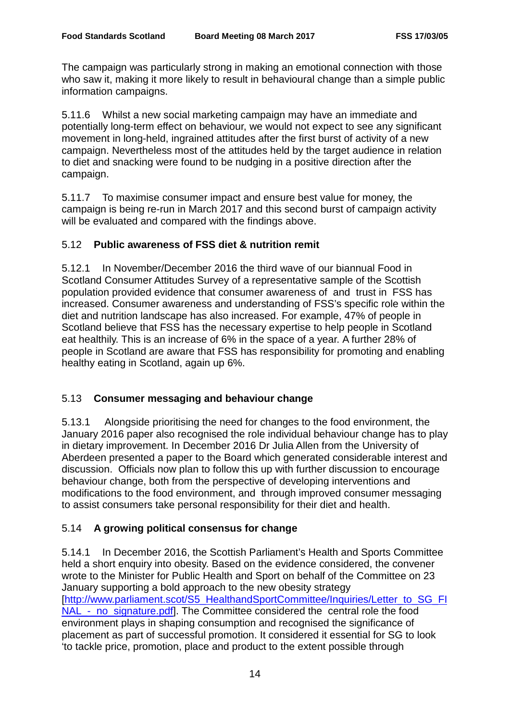The campaign was particularly strong in making an emotional connection with those who saw it, making it more likely to result in behavioural change than a simple public information campaigns.

5.11.6 Whilst a new social marketing campaign may have an immediate and potentially long-term effect on behaviour, we would not expect to see any significant movement in long-held, ingrained attitudes after the first burst of activity of a new campaign. Nevertheless most of the attitudes held by the target audience in relation to diet and snacking were found to be nudging in a positive direction after the campaign.

5.11.7 To maximise consumer impact and ensure best value for money, the campaign is being re-run in March 2017 and this second burst of campaign activity will be evaluated and compared with the findings above.

# 5.12 **Public awareness of FSS diet & nutrition remit**

5.12.1 In November/December 2016 the third wave of our biannual Food in Scotland Consumer Attitudes Survey of a representative sample of the Scottish population provided evidence that consumer awareness of and trust in FSS has increased. Consumer awareness and understanding of FSS's specific role within the diet and nutrition landscape has also increased. For example, 47% of people in Scotland believe that FSS has the necessary expertise to help people in Scotland eat healthily. This is an increase of 6% in the space of a year. A further 28% of people in Scotland are aware that FSS has responsibility for promoting and enabling healthy eating in Scotland, again up 6%.

# 5.13 **Consumer messaging and behaviour change**

5.13.1 Alongside prioritising the need for changes to the food environment, the January 2016 paper also recognised the role individual behaviour change has to play in dietary improvement. In December 2016 Dr Julia Allen from the University of Aberdeen presented a paper to the Board which generated considerable interest and discussion. Officials now plan to follow this up with further discussion to encourage behaviour change, both from the perspective of developing interventions and modifications to the food environment, and through improved consumer messaging to assist consumers take personal responsibility for their diet and health.

# 5.14 **A growing political consensus for change**

5.14.1 In December 2016, the Scottish Parliament's Health and Sports Committee held a short enquiry into obesity. Based on the evidence considered, the convener wrote to the Minister for Public Health and Sport on behalf of the Committee on 23 January supporting a bold approach to the new obesity strategy [\[http://www.parliament.scot/S5\\_HealthandSportCommittee/Inquiries/Letter\\_to\\_SG\\_FI](http://www.parliament.scot/S5_HealthandSportCommittee/Inquiries/Letter_to_SG_FINAL_-_no_signature.pdf) NAL - no signature.pdf]. The Committee considered the central role the food environment plays in shaping consumption and recognised the significance of placement as part of successful promotion. It considered it essential for SG to look 'to tackle price, promotion, place and product to the extent possible through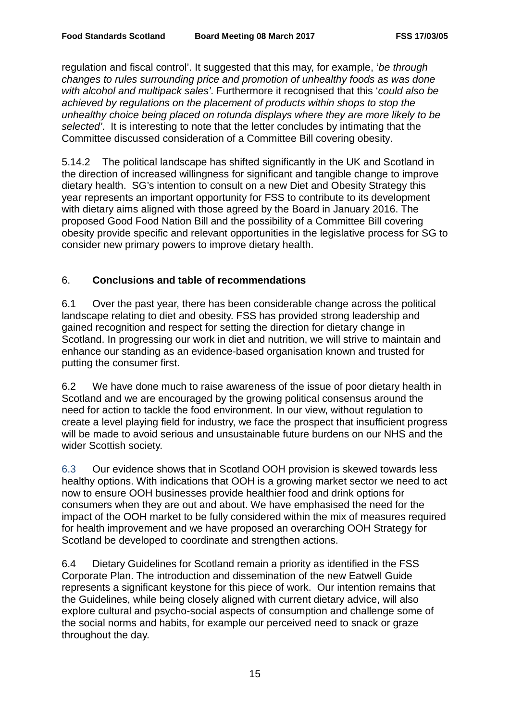regulation and fiscal control'. It suggested that this may, for example, '*be through changes to rules surrounding price and promotion of unhealthy foods as was done with alcohol and multipack sales'*. Furthermore it recognised that this '*could also be achieved by regulations on the placement of products within shops to stop the unhealthy choice being placed on rotunda displays where they are more likely to be selected'*. It is interesting to note that the letter concludes by intimating that the Committee discussed consideration of a Committee Bill covering obesity.

5.14.2 The political landscape has shifted significantly in the UK and Scotland in the direction of increased willingness for significant and tangible change to improve dietary health. SG's intention to consult on a new Diet and Obesity Strategy this year represents an important opportunity for FSS to contribute to its development with dietary aims aligned with those agreed by the Board in January 2016. The proposed Good Food Nation Bill and the possibility of a Committee Bill covering obesity provide specific and relevant opportunities in the legislative process for SG to consider new primary powers to improve dietary health.

# 6. **Conclusions and table of recommendations**

6.1 Over the past year, there has been considerable change across the political landscape relating to diet and obesity. FSS has provided strong leadership and gained recognition and respect for setting the direction for dietary change in Scotland. In progressing our work in diet and nutrition, we will strive to maintain and enhance our standing as an evidence-based organisation known and trusted for putting the consumer first.

6.2 We have done much to raise awareness of the issue of poor dietary health in Scotland and we are encouraged by the growing political consensus around the need for action to tackle the food environment. In our view, without regulation to create a level playing field for industry, we face the prospect that insufficient progress will be made to avoid serious and unsustainable future burdens on our NHS and the wider Scottish society.

6.3 Our evidence shows that in Scotland OOH provision is skewed towards less healthy options. With indications that OOH is a growing market sector we need to act now to ensure OOH businesses provide healthier food and drink options for consumers when they are out and about. We have emphasised the need for the impact of the OOH market to be fully considered within the mix of measures required for health improvement and we have proposed an overarching OOH Strategy for Scotland be developed to coordinate and strengthen actions.

6.4 Dietary Guidelines for Scotland remain a priority as identified in the FSS Corporate Plan. The introduction and dissemination of the new Eatwell Guide represents a significant keystone for this piece of work. Our intention remains that the Guidelines, while being closely aligned with current dietary advice, will also explore cultural and psycho-social aspects of consumption and challenge some of the social norms and habits, for example our perceived need to snack or graze throughout the day.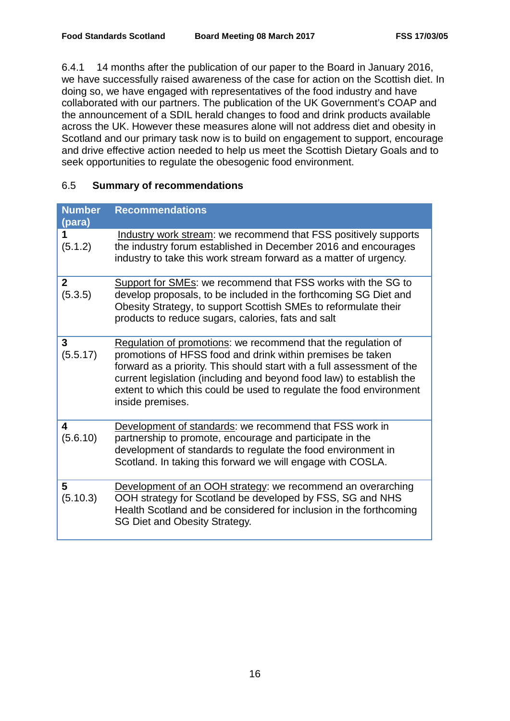6.4.1 14 months after the publication of our paper to the Board in January 2016, we have successfully raised awareness of the case for action on the Scottish diet. In doing so, we have engaged with representatives of the food industry and have collaborated with our partners. The publication of the UK Government's COAP and the announcement of a SDIL herald changes to food and drink products available across the UK. However these measures alone will not address diet and obesity in Scotland and our primary task now is to build on engagement to support, encourage and drive effective action needed to help us meet the Scottish Dietary Goals and to seek opportunities to regulate the obesogenic food environment.

# 6.5 **Summary of recommendations**

| <b>Number</b><br>(para) | <b>Recommendations</b>                                                                                                                                                                                                                                                                                                                                                   |
|-------------------------|--------------------------------------------------------------------------------------------------------------------------------------------------------------------------------------------------------------------------------------------------------------------------------------------------------------------------------------------------------------------------|
| 1<br>(5.1.2)            | Industry work stream: we recommend that FSS positively supports<br>the industry forum established in December 2016 and encourages<br>industry to take this work stream forward as a matter of urgency.                                                                                                                                                                   |
| $\mathbf{2}$<br>(5.3.5) | Support for SMEs: we recommend that FSS works with the SG to<br>develop proposals, to be included in the forthcoming SG Diet and<br>Obesity Strategy, to support Scottish SMEs to reformulate their<br>products to reduce sugars, calories, fats and salt                                                                                                                |
| 3<br>(5.5.17)           | Regulation of promotions: we recommend that the regulation of<br>promotions of HFSS food and drink within premises be taken<br>forward as a priority. This should start with a full assessment of the<br>current legislation (including and beyond food law) to establish the<br>extent to which this could be used to regulate the food environment<br>inside premises. |
| 4<br>(5.6.10)           | Development of standards: we recommend that FSS work in<br>partnership to promote, encourage and participate in the<br>development of standards to regulate the food environment in<br>Scotland. In taking this forward we will engage with COSLA.                                                                                                                       |
| 5<br>(5.10.3)           | Development of an OOH strategy: we recommend an overarching<br>OOH strategy for Scotland be developed by FSS, SG and NHS<br>Health Scotland and be considered for inclusion in the forthcoming<br>SG Diet and Obesity Strategy.                                                                                                                                          |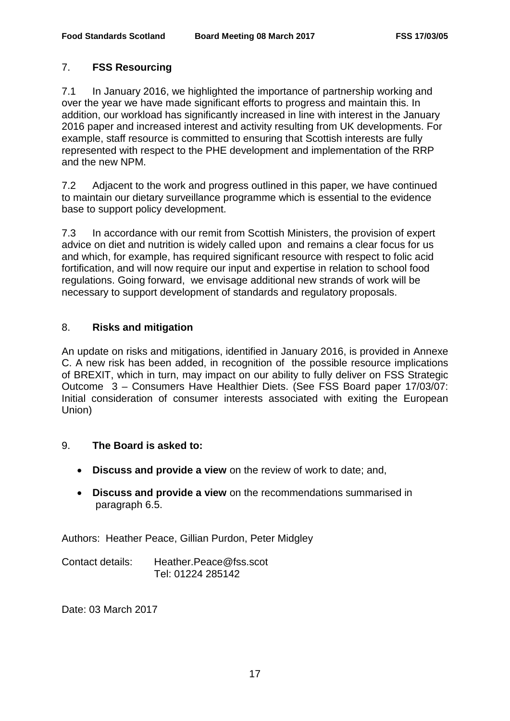# 7. **FSS Resourcing**

7.1 In January 2016, we highlighted the importance of partnership working and over the year we have made significant efforts to progress and maintain this. In addition, our workload has significantly increased in line with interest in the January 2016 paper and increased interest and activity resulting from UK developments. For example, staff resource is committed to ensuring that Scottish interests are fully represented with respect to the PHE development and implementation of the RRP and the new NPM.

7.2 Adjacent to the work and progress outlined in this paper, we have continued to maintain our dietary surveillance programme which is essential to the evidence base to support policy development.

7.3 In accordance with our remit from Scottish Ministers, the provision of expert advice on diet and nutrition is widely called upon and remains a clear focus for us and which, for example, has required significant resource with respect to folic acid fortification, and will now require our input and expertise in relation to school food regulations. Going forward, we envisage additional new strands of work will be necessary to support development of standards and regulatory proposals.

# 8. **Risks and mitigation**

An update on risks and mitigations, identified in January 2016, is provided in Annexe C. A new risk has been added, in recognition of the possible resource implications of BREXIT, which in turn, may impact on our ability to fully deliver on FSS Strategic Outcome3 – Consumers Have Healthier Diets. (See FSS Board paper 17/03/07: Initial consideration of consumer interests associated with exiting the European Union)

# 9. **The Board is asked to:**

- **Discuss and provide a view** on the review of work to date; and,
- **Discuss and provide a view** on the recommendations summarised in paragraph 6.5.

Authors: Heather Peace, Gillian Purdon, Peter Midgley

Contact details: Heather.Peace@fss.scot Tel: 01224 285142

Date: 03 March 2017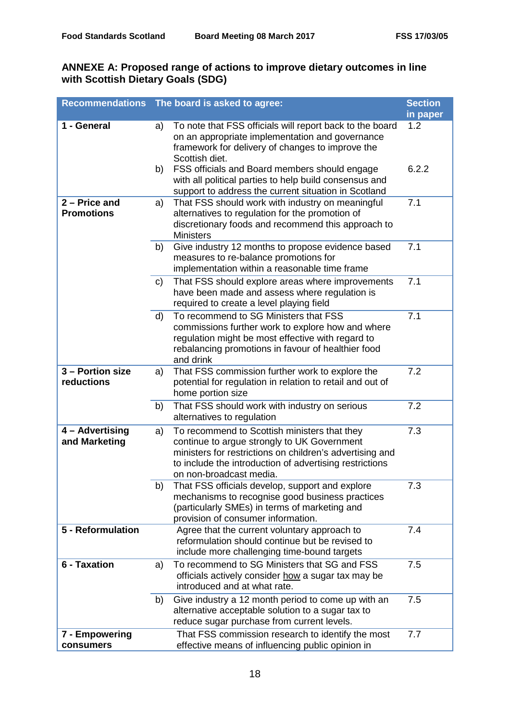# **ANNEXE A: Proposed range of actions to improve dietary outcomes in line with Scottish Dietary Goals (SDG)**

|                                      |    | Recommendations The board is asked to agree:                                                                                                                                                                                                  | <b>Section</b><br>in paper |
|--------------------------------------|----|-----------------------------------------------------------------------------------------------------------------------------------------------------------------------------------------------------------------------------------------------|----------------------------|
| 1 - General                          | a) | To note that FSS officials will report back to the board<br>on an appropriate implementation and governance<br>framework for delivery of changes to improve the<br>Scottish diet.                                                             | 1.2                        |
|                                      | b) | FSS officials and Board members should engage<br>with all political parties to help build consensus and<br>support to address the current situation in Scotland                                                                               | 6.2.2                      |
| $2 -$ Price and<br><b>Promotions</b> | a) | That FSS should work with industry on meaningful<br>alternatives to regulation for the promotion of<br>discretionary foods and recommend this approach to<br><b>Ministers</b>                                                                 | 7.1                        |
|                                      | b) | Give industry 12 months to propose evidence based<br>measures to re-balance promotions for<br>implementation within a reasonable time frame                                                                                                   | 7.1                        |
|                                      | C) | That FSS should explore areas where improvements<br>have been made and assess where regulation is<br>required to create a level playing field                                                                                                 | 7.1                        |
|                                      | d) | To recommend to SG Ministers that FSS<br>commissions further work to explore how and where<br>regulation might be most effective with regard to<br>rebalancing promotions in favour of healthier food<br>and drink                            | 7.1                        |
| 3 - Portion size<br>reductions       | a) | That FSS commission further work to explore the<br>potential for regulation in relation to retail and out of<br>home portion size                                                                                                             | 7.2                        |
|                                      | b) | That FSS should work with industry on serious<br>alternatives to regulation                                                                                                                                                                   | 7.2                        |
| 4 - Advertising<br>and Marketing     | a) | To recommend to Scottish ministers that they<br>continue to argue strongly to UK Government<br>ministers for restrictions on children's advertising and<br>to include the introduction of advertising restrictions<br>on non-broadcast media. | 7.3                        |
|                                      | b) | That FSS officials develop, support and explore<br>mechanisms to recognise good business practices<br>(particularly SMEs) in terms of marketing and<br>provision of consumer information.                                                     | 7.3                        |
| 5 - Reformulation                    |    | Agree that the current voluntary approach to<br>reformulation should continue but be revised to<br>include more challenging time-bound targets                                                                                                | 7.4                        |
| 6 - Taxation                         | a) | To recommend to SG Ministers that SG and FSS<br>officials actively consider how a sugar tax may be<br>introduced and at what rate.                                                                                                            | 7.5                        |
|                                      | b) | Give industry a 12 month period to come up with an<br>alternative acceptable solution to a sugar tax to<br>reduce sugar purchase from current levels.                                                                                         | 7.5                        |
| 7 - Empowering<br>consumers          |    | That FSS commission research to identify the most<br>effective means of influencing public opinion in                                                                                                                                         | 7.7                        |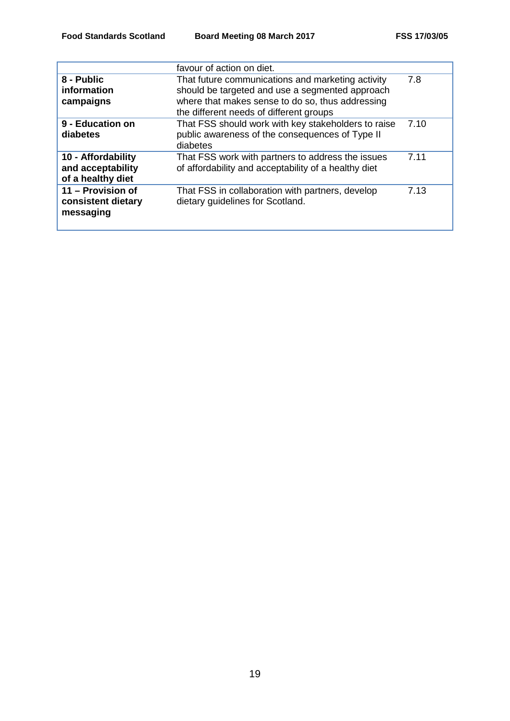|                                                              | favour of action on diet.                                                                                                                                                                           |      |
|--------------------------------------------------------------|-----------------------------------------------------------------------------------------------------------------------------------------------------------------------------------------------------|------|
| 8 - Public<br>information<br>campaigns                       | That future communications and marketing activity<br>should be targeted and use a segmented approach<br>where that makes sense to do so, thus addressing<br>the different needs of different groups | 7.8  |
| 9 - Education on<br>diabetes                                 | That FSS should work with key stakeholders to raise<br>public awareness of the consequences of Type II<br>diabetes                                                                                  | 7.10 |
| 10 - Affordability<br>and acceptability<br>of a healthy diet | That FSS work with partners to address the issues<br>of affordability and acceptability of a healthy diet                                                                                           | 7.11 |
| 11 - Provision of<br>consistent dietary<br>messaging         | That FSS in collaboration with partners, develop<br>dietary guidelines for Scotland.                                                                                                                | 7.13 |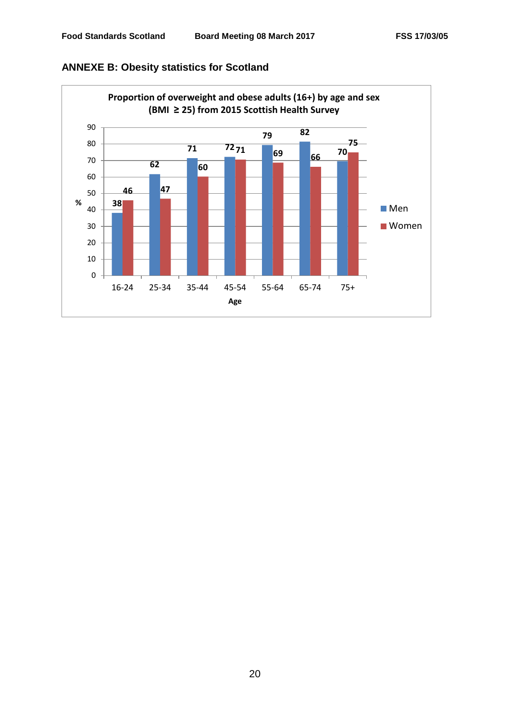

# **ANNEXE B: Obesity statistics for Scotland**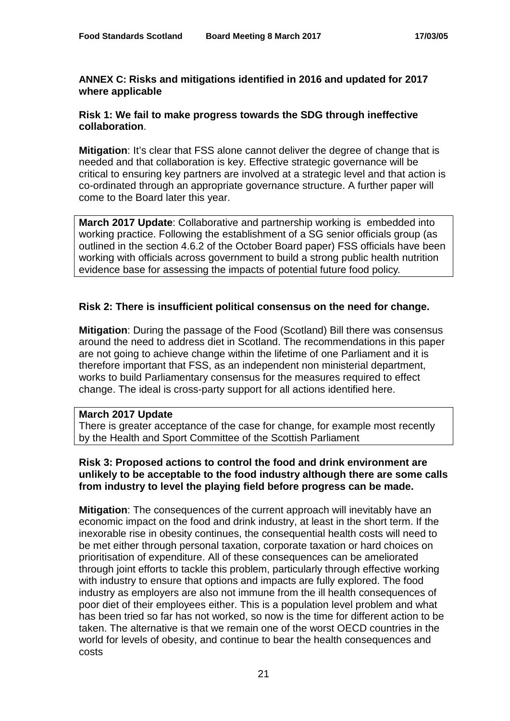# **ANNEX C: Risks and mitigations identified in 2016 and updated for 2017 where applicable**

# **Risk 1: We fail to make progress towards the SDG through ineffective collaboration**.

**Mitigation**: It's clear that FSS alone cannot deliver the degree of change that is needed and that collaboration is key. Effective strategic governance will be critical to ensuring key partners are involved at a strategic level and that action is co-ordinated through an appropriate governance structure. A further paper will come to the Board later this year.

**March 2017 Update**: Collaborative and partnership working is embedded into working practice. Following the establishment of a SG senior officials group (as outlined in the section 4.6.2 of the October Board paper) FSS officials have been working with officials across government to build a strong public health nutrition evidence base for assessing the impacts of potential future food policy.

# **Risk 2: There is insufficient political consensus on the need for change.**

**Mitigation**: During the passage of the Food (Scotland) Bill there was consensus around the need to address diet in Scotland. The recommendations in this paper are not going to achieve change within the lifetime of one Parliament and it is therefore important that FSS, as an independent non ministerial department, works to build Parliamentary consensus for the measures required to effect change. The ideal is cross-party support for all actions identified here.

#### **March 2017 Update**

There is greater acceptance of the case for change, for example most recently by the Health and Sport Committee of the Scottish Parliament

# **Risk 3: Proposed actions to control the food and drink environment are unlikely to be acceptable to the food industry although there are some calls from industry to level the playing field before progress can be made.**

**Mitigation**: The consequences of the current approach will inevitably have an economic impact on the food and drink industry, at least in the short term. If the inexorable rise in obesity continues, the consequential health costs will need to be met either through personal taxation, corporate taxation or hard choices on prioritisation of expenditure. All of these consequences can be ameliorated through joint efforts to tackle this problem, particularly through effective working with industry to ensure that options and impacts are fully explored. The food industry as employers are also not immune from the ill health consequences of poor diet of their employees either. This is a population level problem and what has been tried so far has not worked, so now is the time for different action to be taken. The alternative is that we remain one of the worst OECD countries in the world for levels of obesity, and continue to bear the health consequences and costs